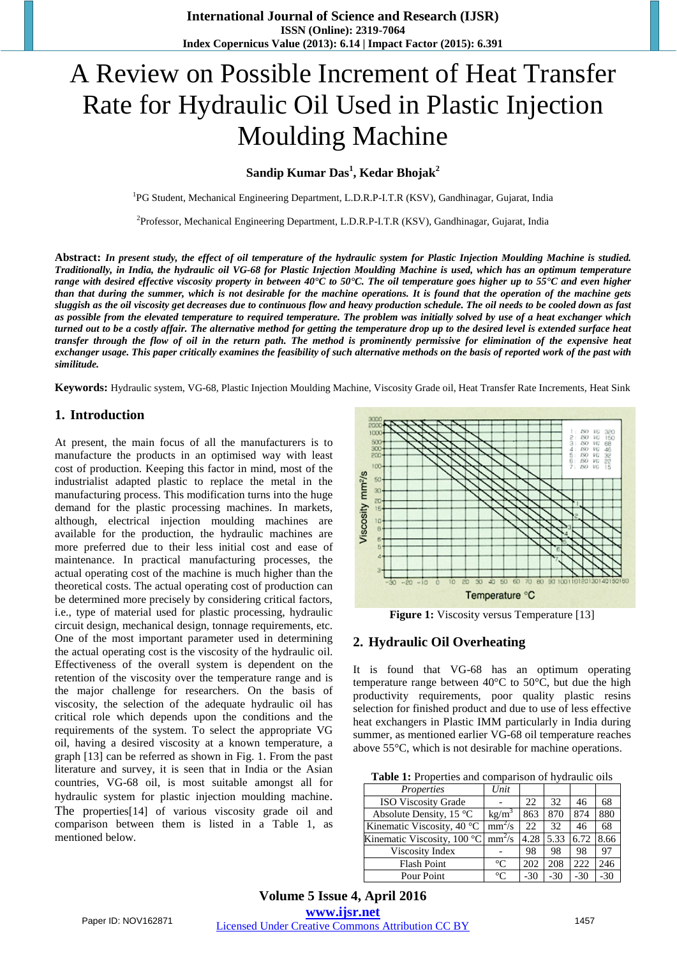# A Review on Possible Increment of Heat Transfer Rate for Hydraulic Oil Used in Plastic Injection Moulding Machine

# **Sandip Kumar Das<sup>1</sup> , Kedar Bhojak<sup>2</sup>**

<sup>1</sup>PG Student, Mechanical Engineering Department, L.D.R.P-I.T.R (KSV), Gandhinagar, Gujarat, India

<sup>2</sup>Professor, Mechanical Engineering Department, L.D.R.P-I.T.R (KSV), Gandhinagar, Gujarat, India

Abstract: In present study, the effect of oil temperature of the hydraulic system for Plastic Injection Moulding Machine is studied. Traditionally, in India, the hydraulic oil VG-68 for Plastic Injection Moulding Machine is used, which has an optimum temperature range with desired effective viscosity property in between 40°C to 50°C. The oil temperature goes higher up to  $55$ °C and even higher than that during the summer, which is not desirable for the machine operations. It is found that the operation of the machine gets sluggish as the oil viscosity get decreases due to continuous flow and heavy production schedule. The oil needs to be cooled down as fast *as possible from the elevated temperature to required temperature. The problem was initially solved by use of a heat exchanger which* turned out to be a costly affair. The alternative method for getting the temperature drop up to the desired level is extended surface heat transfer through the flow of oil in the return path. The method is prominently permissive for elimination of the expensive heat exchanger usage. This paper critically examines the feasibility of such alternative methods on the basis of reported work of the past with *similitude.*

**Keywords:** Hydraulic system, VG-68, Plastic Injection Moulding Machine, Viscosity Grade oil, Heat Transfer Rate Increments, Heat Sink

#### **1. Introduction**

At present, the main focus of all the manufacturers is to manufacture the products in an optimised way with least cost of production. Keeping this factor in mind, most of the industrialist adapted plastic to replace the metal in the manufacturing process. This modification turns into the huge demand for the plastic processing machines. In markets, although, electrical injection moulding machines are available for the production, the hydraulic machines are more preferred due to their less initial cost and ease of maintenance. In practical manufacturing processes, the actual operating cost of the machine is much higher than the theoretical costs. The actual operating cost of production can be determined more precisely by considering critical factors, i.e., type of material used for plastic processing, hydraulic circuit design, mechanical design, tonnage requirements, etc. One of the most important parameter used in determining the actual operating cost is the viscosity of the hydraulic oil. Effectiveness of the overall system is dependent on the retention of the viscosity over the temperature range and is the major challenge for researchers. On the basis of viscosity, the selection of the adequate hydraulic oil has critical role which depends upon the conditions and the requirements of the system. To select the appropriate VG oil, having a desired viscosity at a known temperature, a graph [13] can be referred as shown in Fig. 1. From the past literature and survey, it is seen that in India or the Asian countries, VG-68 oil, is most suitable amongst all for hydraulic system for plastic injection moulding machine. The properties[14] of various viscosity grade oil and comparison between them is listed in a Table 1, as mentioned below.



Figure 1: Viscosity versus Temperature [13]

## **2. Hydraulic Oil Overheating**

It is found that VG-68 has an optimum operating temperature range between 40°C to 50°C, but due the high productivity requirements, poor quality plastic resins selection for finished product and due to use of less effective heat exchangers in Plastic IMM particularly in India during summer, as mentioned earlier VG-68 oil temperature reaches above 55°C, which is not desirable for machine operations.

**Table 1:** Properties and comparison of hydraulic oils

| Properties                  | Unit              |      |      |      |      |
|-----------------------------|-------------------|------|------|------|------|
| <b>ISO Viscosity Grade</b>  |                   | 22.  | 32   | 46   | 68   |
| Absolute Density, 15 °C     | kg/m <sup>3</sup> | 863  | 870  | 874  | 880  |
| Kinematic Viscosity, 40 °C  | $mm^2/s$          | 22.  | 32   | 46   | 68   |
| Kinematic Viscosity, 100 °C | $mm^2/s$          | 4.28 | 5.33 | 6.72 | 8.66 |
|                             |                   |      |      |      |      |
| Viscosity Index             |                   | 98   | 98   | 98   | 97   |
| <b>Flash Point</b>          | $^{\circ}C$       | 202  | 208  | 222  | 246  |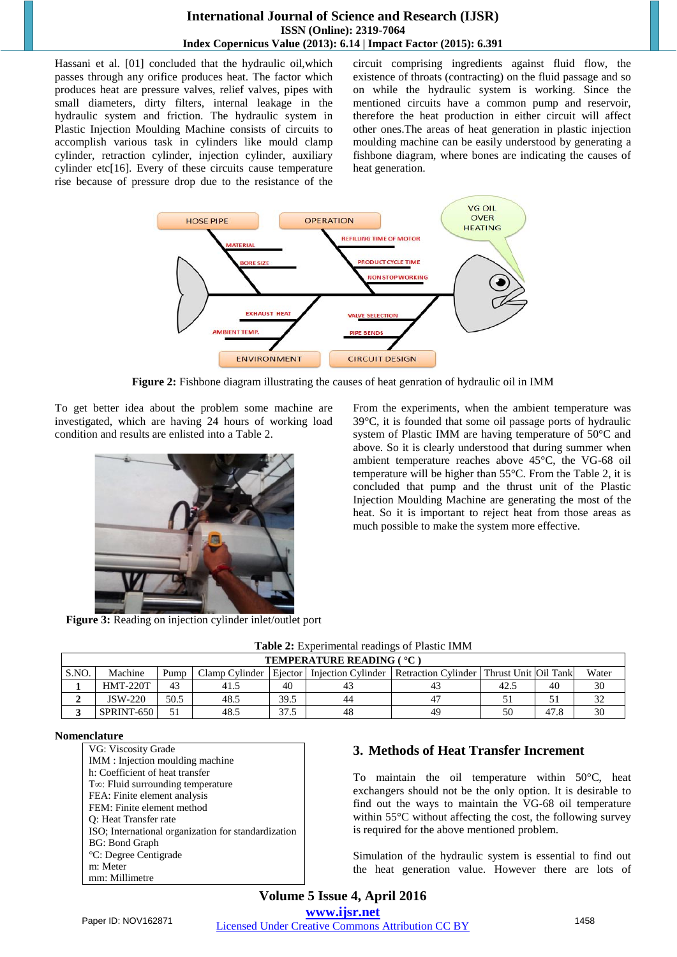## **International Journal of Science and Research (IJSR) ISSN (Online): 2319-7064 Index Copernicus Value (2013): 6.14 | Impact Factor (2015): 6.391**

Hassani et al. [01] concluded that the hydraulic oil,which passes through any orifice produces heat. The factor which produces heat are pressure valves, relief valves, pipes with small diameters, dirty filters, internal leakage in the hydraulic system and friction. The hydraulic system in Plastic Injection Moulding Machine consists of circuits to accomplish various task in cylinders like mould clamp cylinder, retraction cylinder, injection cylinder, auxiliary cylinder etc[16]. Every of these circuits cause temperature rise because of pressure drop due to the resistance of the circuit comprising ingredients against fluid flow, the existence of throats (contracting) on the fluid passage and so on while the hydraulic system is working. Since the mentioned circuits have a common pump and reservoir, therefore the heat production in either circuit will affect other ones.The areas of heat generation in plastic injection moulding machine can be easily understood by generating a fishbone diagram, where bones are indicating the causes of heat generation.



**Figure 2:** Fishbone diagram illustrating the causes of heat genration of hydraulic oil in IMM

To get better idea about the problem some machine are investigated, which are having 24 hours of working load condition and results are enlisted into a Table 2.



**Figure 3:** Reading on injection cylinder inlet/outlet port

From the experiments, when the ambient temperature was 39°C, it is founded that some oil passage ports of hydraulic system of Plastic IMM are having temperature of 50°C and above. So it is clearly understood that during summer when ambient temperature reaches above 45°C, the VG-68 oil temperature will be higher than 55°C. From the Table 2, it is concluded that pump and the thrust unit of the Plastic Injection Moulding Machine are generating the most of the heat. So it is important to reject heat from those areas as much possible to make the system more effective.

**Table 2:** Experimental readings of Plastic IMM **TEMPERATURE READING ( °C )** S.NO. Machine Pump Clamp Cylinder Ejector Injection Cylinder Retraction Cylinder Thrust Unit Oil Tank Water **1** HMT-220T 43 41.5 40 43 43 42.5 40 30 **2** | JSW-220 | 50.5 | 48.5 | 39.5 | 44 | 47 | 51 | 51 | 32 **3** SPRINT-650 51 48.5 37.5 48 49 50 47.8 30

#### **Nomenclature**

| VG: Viscosity Grade                                 |
|-----------------------------------------------------|
| IMM : Injection moulding machine                    |
| h: Coefficient of heat transfer                     |
| $T\infty$ : Fluid surrounding temperature           |
| FEA: Finite element analysis                        |
| FEM: Finite element method                          |
| Q: Heat Transfer rate                               |
| ISO; International organization for standardization |
| <b>BG: Bond Graph</b>                               |
| <sup>o</sup> C: Degree Centigrade                   |
| m: Meter                                            |
| mm: Millimetre                                      |

## **3. Methods of Heat Transfer Increment**

To maintain the oil temperature within 50°C, heat exchangers should not be the only option. It is desirable to find out the ways to maintain the VG-68 oil temperature within 55°C without affecting the cost, the following survey is required for the above mentioned problem.

Simulation of the hydraulic system is essential to find out the heat generation value. However there are lots of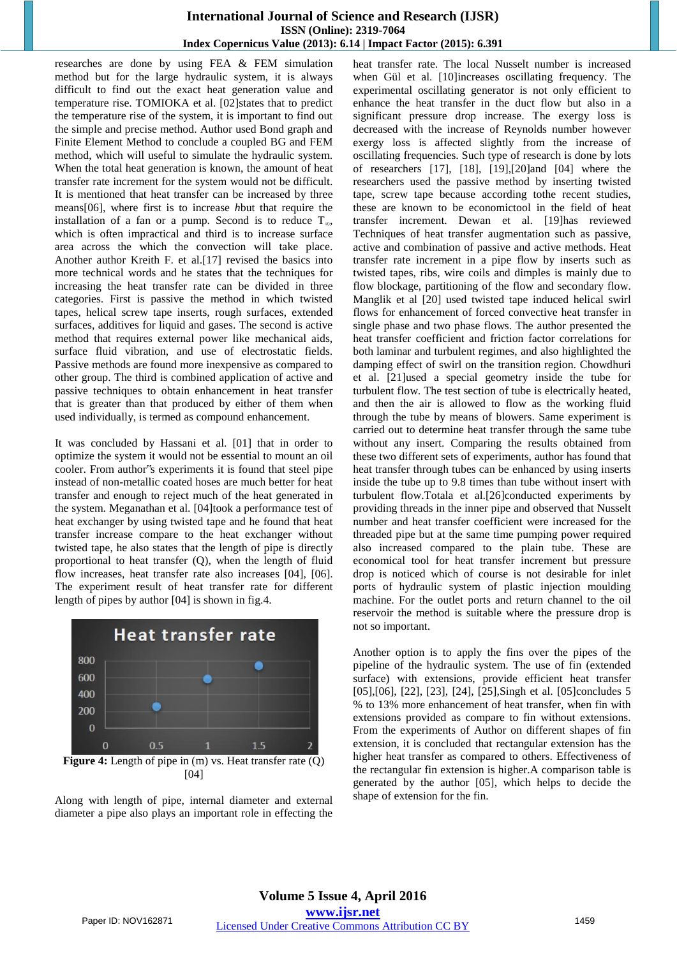#### **International Journal of Science and Research (IJSR) ISSN (Online): 2319-7064 Index Copernicus Value (2013): 6.14 | Impact Factor (2015): 6.391**

researches are done by using FEA & FEM simulation method but for the large hydraulic system, it is always difficult to find out the exact heat generation value and temperature rise. TOMIOKA et al. [02]states that to predict the temperature rise of the system, it is important to find out the simple and precise method. Author used Bond graph and Finite Element Method to conclude a coupled BG and FEM method, which will useful to simulate the hydraulic system. When the total heat generation is known, the amount of heat transfer rate increment for the system would not be difficult. It is mentioned that heat transfer can be increased by three means[06], where first is to increase *h*but that require the installation of a fan or a pump. Second is to reduce  $T_{\infty}$ , which is often impractical and third is to increase surface area across the which the convection will take place. Another author Kreith F. et al.[17] revised the basics into more technical words and he states that the techniques for increasing the heat transfer rate can be divided in three categories. First is passive the method in which twisted tapes, helical screw tape inserts, rough surfaces, extended surfaces, additives for liquid and gases. The second is active method that requires external power like mechanical aids, surface fluid vibration, and use of electrostatic fields. Passive methods are found more inexpensive as compared to other group. The third is combined application of active and passive techniques to obtain enhancement in heat transfer that is greater than that produced by either of them when used individually, is termed as compound enhancement.

It was concluded by Hassani et al. [01] that in order to optimize the system it would not be essential to mount an oil cooler. From author"s experiments it is found that steel pipe instead of non-metallic coated hoses are much better for heat transfer and enough to reject much of the heat generated in the system. Meganathan et al. [04]took a performance test of heat exchanger by using twisted tape and he found that heat transfer increase compare to the heat exchanger without twisted tape, he also states that the length of pipe is directly proportional to heat transfer (Q), when the length of fluid flow increases, heat transfer rate also increases [04], [06]. The experiment result of heat transfer rate for different length of pipes by author [04] is shown in fig.4.



**Figure 4:** Length of pipe in (m) vs. Heat transfer rate (Q) [04]

Along with length of pipe, internal diameter and external diameter a pipe also plays an important role in effecting the heat transfer rate. The local Nusselt number is increased when Gül et al. [10]increases oscillating frequency. The experimental oscillating generator is not only efficient to enhance the heat transfer in the duct flow but also in a significant pressure drop increase. The exergy loss is decreased with the increase of Reynolds number however exergy loss is affected slightly from the increase of oscillating frequencies. Such type of research is done by lots of researchers [17], [18], [19],[20]and [04] where the researchers used the passive method by inserting twisted tape, screw tape because according to the recent studies, these are known to be economictool in the field of heat transfer increment. Dewan et al. [19]has reviewed Techniques of heat transfer augmentation such as passive, active and combination of passive and active methods. Heat transfer rate increment in a pipe flow by inserts such as twisted tapes, ribs, wire coils and dimples is mainly due to flow blockage, partitioning of the flow and secondary flow. Manglik et al [20] used twisted tape induced helical swirl flows for enhancement of forced convective heat transfer in single phase and two phase flows. The author presented the heat transfer coefficient and friction factor correlations for both laminar and turbulent regimes, and also highlighted the damping effect of swirl on the transition region. Chowdhuri et al. [21]used a special geometry inside the tube for turbulent flow. The test section of tube is electrically heated, and then the air is allowed to flow as the working fluid through the tube by means of blowers. Same experiment is carried out to determine heat transfer through the same tube without any insert. Comparing the results obtained from these two different sets of experiments, author has found that heat transfer through tubes can be enhanced by using inserts inside the tube up to 9.8 times than tube without insert with turbulent flow.Totala et al.[26]conducted experiments by providing threads in the inner pipe and observed that Nusselt number and heat transfer coefficient were increased for the threaded pipe but at the same time pumping power required also increased compared to the plain tube. These are economical tool for heat transfer increment but pressure drop is noticed which of course is not desirable for inlet ports of hydraulic system of plastic injection moulding machine. For the outlet ports and return channel to the oil reservoir the method is suitable where the pressure drop is not so important.

Another option is to apply the fins over the pipes of the pipeline of the hydraulic system. The use of fin (extended surface) with extensions, provide efficient heat transfer [05], [06], [22], [23], [24], [25], Singh et al. [05]concludes 5 % to 13% more enhancement of heat transfer, when fin with extensions provided as compare to fin without extensions. From the experiments of Author on different shapes of fin extension, it is concluded that rectangular extension has the higher heat transfer as compared to others. Effectiveness of the rectangular fin extension is higher.A comparison table is generated by the author [05], which helps to decide the shape of extension for the fin.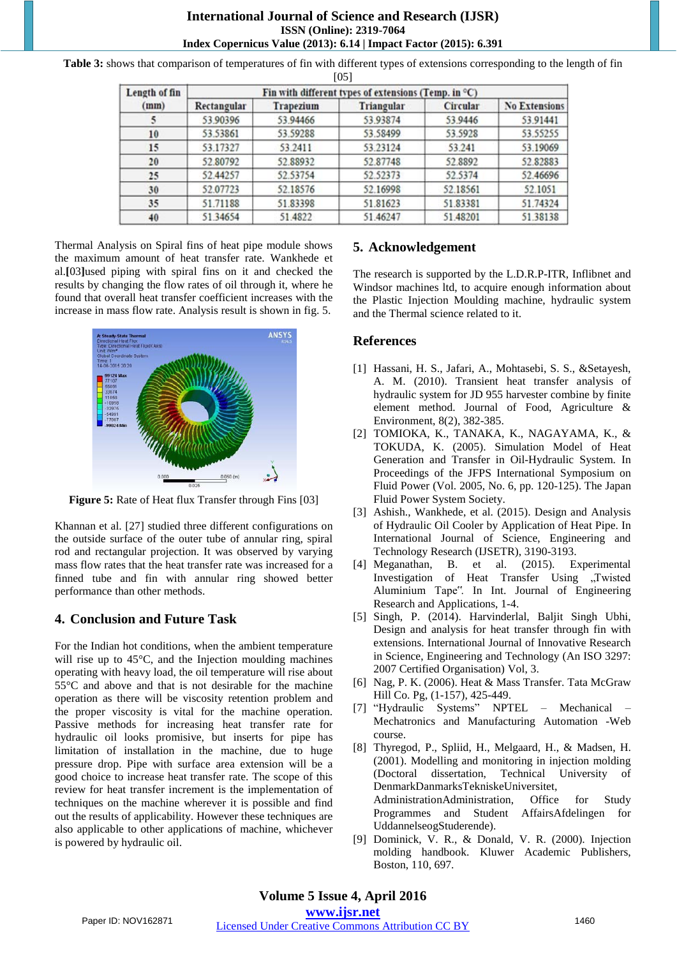**Table 3:** shows that comparison of temperatures of fin with different types of extensions corresponding to the length of fin

| Length of fin<br>(mm) | Fin with different types of extensions (Temp. in $^{\circ}$ C) |                  |            |          |                      |  |  |  |  |
|-----------------------|----------------------------------------------------------------|------------------|------------|----------|----------------------|--|--|--|--|
|                       | Rectangular                                                    | <b>Trapezium</b> | Triangular | Circular | <b>No Extensions</b> |  |  |  |  |
|                       | 53.90396                                                       | 53.94466         | 53.93874   | 53.9446  | 53.91441             |  |  |  |  |
| 10                    | 53.53861                                                       | 53.59288         | 53.58499   | 53.5928  | 53.55255             |  |  |  |  |
| 15                    | 53.17327                                                       | 53.2411          | 53.23124   | 53.241   | 53.19069             |  |  |  |  |
| 20                    | 52.80792                                                       | 52.88932         | 52.87748   | 52.8892  | 52.82883             |  |  |  |  |
| 25                    | 52.44257                                                       | 52.53754         | 52.52373   | 52.5374  | 52.46696             |  |  |  |  |

52.18576

51.83398

51.4822

[05]

Thermal Analysis on Spiral fins of heat pipe module shows the maximum amount of heat transfer rate. Wankhede et al.**[**03**]**used piping with spiral fins on it and checked the results by changing the flow rates of oil through it, where he found that overall heat transfer coefficient increases with the increase in mass flow rate. Analysis result is shown in fig. 5.

52.07723

51.71188

51.34654

30 35

40



Figure 5: Rate of Heat flux Transfer through Fins [03]

Khannan et al. [27] studied three different configurations on the outside surface of the outer tube of annular ring, spiral rod and rectangular projection. It was observed by varying mass flow rates that the heat transfer rate was increased for a finned tube and fin with annular ring showed better performance than other methods.

# **4. Conclusion and Future Task**

For the Indian hot conditions, when the ambient temperature will rise up to 45°C, and the Injection moulding machines operating with heavy load, the oil temperature will rise about 55°C and above and that is not desirable for the machine operation as there will be viscosity retention problem and the proper viscosity is vital for the machine operation. Passive methods for increasing heat transfer rate for hydraulic oil looks promisive, but inserts for pipe has limitation of installation in the machine, due to huge pressure drop. Pipe with surface area extension will be a good choice to increase heat transfer rate. The scope of this review for heat transfer increment is the implementation of techniques on the machine wherever it is possible and find out the results of applicability. However these techniques are also applicable to other applications of machine, whichever is powered by hydraulic oil.

# **5. Acknowledgement**

The research is supported by the L.D.R.P-ITR, Inflibnet and Windsor machines ltd, to acquire enough information about the Plastic Injection Moulding machine, hydraulic system and the Thermal science related to it.

52.18561

51.83381

51.48201

52.1051

51.74324

51.38138

# **References**

52.16998

51.81623

51.46247

- [1] Hassani, H. S., Jafari, A., Mohtasebi, S. S., &Setayesh, A. M. (2010). Transient heat transfer analysis of hydraulic system for JD 955 harvester combine by finite element method. Journal of Food, Agriculture & Environment, 8(2), 382-385.
- [2] TOMIOKA, K., TANAKA, K., NAGAYAMA, K., & TOKUDA, K. (2005). Simulation Model of Heat Generation and Transfer in Oil-Hydraulic System. In Proceedings of the JFPS International Symposium on Fluid Power (Vol. 2005, No. 6, pp. 120-125). The Japan Fluid Power System Society.
- [3] Ashish., Wankhede, et al. (2015). Design and Analysis of Hydraulic Oil Cooler by Application of Heat Pipe. In International Journal of Science, Engineering and Technology Research (IJSETR), 3190-3193.
- [4] Meganathan, B. et al. (2015). Experimental Investigation of Heat Transfer Using "Twisted Aluminium Tape". In Int. Journal of Engineering Research and Applications, 1-4.
- [5] Singh, P. (2014). Harvinderlal, Baljit Singh Ubhi, Design and analysis for heat transfer through fin with extensions. International Journal of Innovative Research in Science, Engineering and Technology (An ISO 3297: 2007 Certified Organisation) Vol, 3.
- [6] Nag, P. K. (2006). Heat & Mass Transfer. Tata McGraw Hill Co. Pg, (1-157), 425-449.
- [7] "Hydraulic Systems" NPTEL Mechanical Mechatronics and Manufacturing Automation -Web course.
- [8] Thyregod, P., Spliid, H., Melgaard, H., & Madsen, H. (2001). Modelling and monitoring in injection molding (Doctoral dissertation, Technical University of DenmarkDanmarksTekniskeUniversitet, AdministrationAdministration, Office for Study Programmes and Student AffairsAfdelingen for UddannelseogStuderende).
- [9] Dominick, V. R., & Donald, V. R. (2000). Injection molding handbook. Kluwer Academic Publishers, Boston, 110, 697.